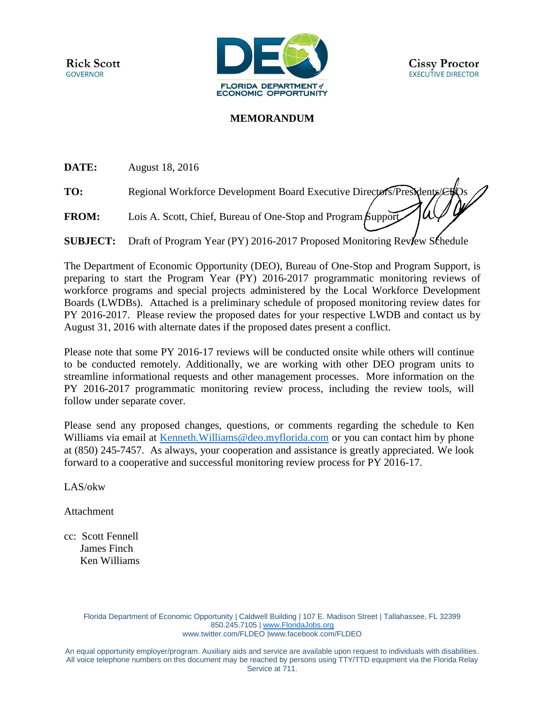

## **MEMORANDUM**

**DATE:** August 18, 2016

TO: Regional Workforce Development Board Executive Directors/Presidents/*CH*Qs

**FROM:** Lois A. Scott, Chief, Bureau of One-Stop and Program Support

**SUBJECT:** Draft of Program Year (PY) 2016-2017 Proposed Monitoring Review Schedule

The Department of Economic Opportunity (DEO), Bureau of One-Stop and Program Support, is preparing to start the Program Year (PY) 2016-2017 programmatic monitoring reviews of workforce programs and special projects administered by the Local Workforce Development Boards (LWDBs). Attached is a preliminary schedule of proposed monitoring review dates for PY 2016-2017. Please review the proposed dates for your respective LWDB and contact us by August 31, 2016 with alternate dates if the proposed dates present a conflict.

Please note that some PY 2016-17 reviews will be conducted onsite while others will continue to be conducted remotely. Additionally, we are working with other DEO program units to streamline informational requests and other management processes. More information on the PY 2016-2017 programmatic monitoring review process, including the review tools, will follow under separate cover.

Please send any proposed changes, questions, or comments regarding the schedule to Ken Williams via email at Kenneth. Williams @deo.myflorida.com or you can contact him by phone at (850) 245-7457. As always, your cooperation and assistance is greatly appreciated. We look forward to a cooperative and successful monitoring review process for PY 2016-17.

LAS/okw

Attachment

cc: Scott Fennell James Finch Ken Williams

> Florida Department of Economic Opportunity | Caldwell Building | 107 E. Madison Street | Tallahassee, FL 32399 850.245.7105 | [www.FloridaJobs.org](http://www.floridajobs.org/) [www.twitter.com/FLDEO](http://www.twitter.com/FLDEO) |www.facebook.com/FLDEO

An equal opportunity employer/program. Auxiliary aids and service are available upon request to individuals with disabilities. All voice telephone numbers on this document may be reached by persons using TTY/TTD equipment via the Florida Relay Service at 711.